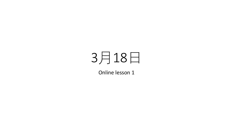## 3月18日

Online lesson 1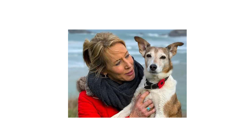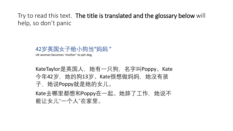Try to read this text. The title is translated and the glossary below will help, so don't panic

## 42岁英国女子给小狗当"妈妈 "

UK woman becomes 'mother' to pet dog.

KateTaylor是英国人,她有一只狗,名字叫Poppy。Kate 今年42岁,她的狗13岁。Kate很想做妈妈,她没有孩 子,她说Poppy就是她的女儿。

Kate去哪里都想和Poppy在一起。她辞了工作, 她说不 能让女儿"一个人"在家里。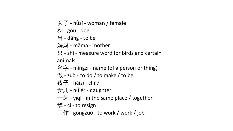- 女子 nǚzǐ woman / female
- 狗 gǒu dog
- 当 dāng to be
- 妈妈 māma mother
- 只 zhī measure word for birds and certain
- animals
- 名字 míngzi name (of a person or thing)
- 做 zuò to do / to make / to be
- 孩子 háizi child
- 女儿 nǚ'ér daughter
- $-\text{\emph{E}}$  yīqǐ in the same place / together
- 辞 cí to resign
- 工作 gōngzuò to work / work / job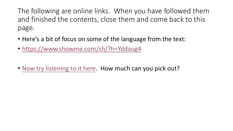The following are online links. When you have followed them and finished the contents, close them and come back to this page.

- Here's a bit of focus on some of the language from the text:
- <https://www.showme.com/sh/?h=Yddaug4>
- [Now try listening to it here.](https://static.wixstatic.com/mp3/166887_9be32d5bbcfd4e8eb6ad1cddc6f05d20.mp3) How much can you pick out?